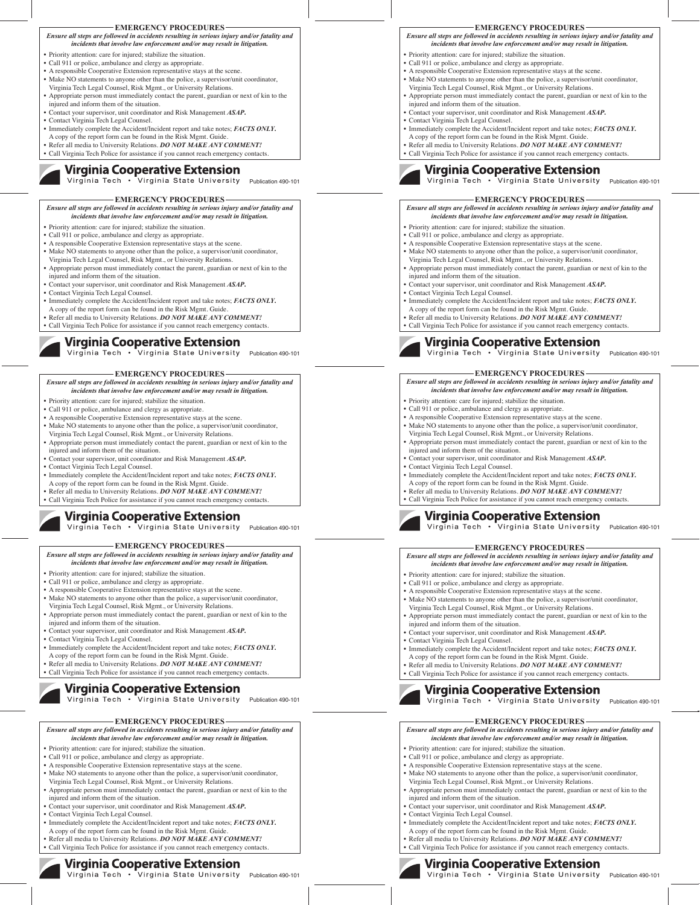### **EMERGENCY PROCEDURES**

*Ensure all steps are followed in accidents resulting in serious injury and/or fatality and incidents that involve law enforcement and/or may result in litigation.*

- Priority attention: care for injured; stabilize the situation.
- Call 911 or police, ambulance and clergy as appropriate.
- A responsible Cooperative Extension representative stays at the scene. Make NO statements to anyone other than the police, a supervisor/unit coordinator,
- Virginia Tech Legal Counsel, Risk Mgmt., or University Relations.
- Appropriate person must immediately contact the parent, guardian or next of kin to the
- injured and inform them of the situation. • Contact your supervisor, unit coordinator and Risk Management *ASAP***.**
- Contact Virginia Tech Legal Counsel.
- 
- Immediately complete the Accident/Incident report and take notes; *FACTS ONLY***.**  A copy of the report form can be found in the Risk Mgmt. Guide.
- Refer all media to University Relations. *DO NOT MAKE ANY COMMENT!*
- Call Virginia Tech Police for assistance if you cannot reach emergency contacts.

# **Virginia Cooperative Extension**

Virginia Tech . virginia State University Publication 490–101

### **EMERGENCY PROCEDURES**

*Ensure all steps are followed in accidents resulting in serious injury and/or fatality and incidents that involve law enforcement and/or may result in litigation.*

- Priority attention: care for injured; stabilize the situation.
- Call 911 or police, ambulance and clergy as appropriate.
- A responsible Cooperative Extension representative stays at the scene. • Make NO statements to anyone other than the police, a supervisor/unit coordinator,
- Virginia Tech Legal Counsel, Risk Mgmt., or University Relations.
- Appropriate person must immediately contact the parent, guardian or next of kin to the injured and inform them of the situation.
- Contact your supervisor, unit coordinator and Risk Management *ASAP***.** • Contact Virginia Tech Legal Counsel.
- Immediately complete the Accident/Incident report and take notes; *FACTS ONLY***.**
- 
- A copy of the report form can be found in the Risk Mgmt. Guide.<br>• Refer all media to University Relations. *DO NOT MAKE ANY COMMENT!*
- Call Virginia Tech Police for assistance if you cannot reach emergency contacts.

# Virginia Cooperative Extension

Virginia Tech . Virginia State University Publication 490-101

#### *Ensure all steps are followed in accidents resulting in serious injury and/or fatality and incidents that involve law enforcement and/or may result in litigation.* **EMERGENCY PROCEDURES**

- Priority attention: care for injured; stabilize the situation.
- Call 911 or police, ambulance and clergy as appropriate.
- A responsible Cooperative Extension representative stays at the scene. Make NO statements to anyone other than the police, a supervisor/unit coordinator,
- 
- Virginia Tech Legal Counsel, Risk Mgmt., or University Relations.
- Appropriate person must immediately contact the parent, guardian or next of kin to the injured and inform them of the situation.
- Contact your supervisor, unit coordinator and Risk Management *ASAP***.**
- Contact Virginia Tech Legal Counsel. • Immediately complete the Accident/Incident report and take notes; *FACTS ONLY***.**
- A copy of the report form can be found in the Risk Mgmt. Guide. • Refer all media to University Relations. *DO NOT MAKE ANY COMMENT!*
- Call Virginia Tech Police for assistance if you cannot reach emergency contacts.

# Virginia Cooperative Extension

Virginia Tech . Virginia State University Publication 490-101

### **EMERGENCY PROCEDURES**

*Ensure all steps are followed in accidents resulting in serious injury and/or fatality and* 

- *incidents that involve law enforcement and/or may result in litigation.*
- Priority attention: care for injured; stabilize the situation.
- Call 911 or police, ambulance and clergy as appropriate.
- A responsible Cooperative Extension representative stays at the scene. • Make NO statements to anyone other than the police, a supervisor/unit coordinator,
- Virginia Tech Legal Counsel, Risk Mgmt., or University Relations.
- Appropriate person must immediately contact the parent, guardian or next of kin to the injured and inform them of the situation.
- Contact your supervisor, unit coordinator and Risk Management *ASAP***.**
- Contact Virginia Tech Legal Counsel.
- Immediately complete the Accident/Incident report and take notes; *FACTS ONLY***.**  A copy of the report form can be found in the Risk Mgmt. Guide.
- Refer all media to University Relations. *DO NOT MAKE ANY COMMENT!*
- Call Virginia Tech Police for assistance if you cannot reach emergency contacts.

# Virginia Cooperative Extension

Virginia Tech  $\cdot$ Virginia State University Publication 490–101

### **EMERGENCY PROCEDURES**

### *Ensure all steps are followed in accidents resulting in serious injury and/or fatality and incidents that involve law enforcement and/or may result in litigation.*

- 
- Priority attention: care for injured; stabilize the situation.
- Call 911 or police, ambulance and clergy as appropriate.
- A responsible Cooperative Extension representative stays at the scene. • Make NO statements to anyone other than the police, a supervisor/unit coordinator,
- Virginia Tech Legal Counsel, Risk Mgmt., or University Relations.
- Appropriate person must immediately contact the parent, guardian or next of kin to the
- injured and inform them of the situation. • Contact your supervisor, unit coordinator and Risk Management *ASAP***.**
- Contact Virginia Tech Legal Counsel.
- 
- Immediately complete the Accident/Incident report and take notes; *FACTS ONLY***.**  A copy of the report form can be found in the Risk Mgmt. Guide.
- Refer all media to University Relations. *DO NOT MAKE ANY COMMENT!*
- Call Virginia Tech Police for assistance if you cannot reach emergency contacts.

# Virginia Cooperative Extension

Virginia Tech • Virginia State University Publication 490–101

# **EMERGENCY PROCEDURES**

### *Ensure all steps are followed in accidents resulting in serious injury and/or fatality and incidents that involve law enforcement and/or may result in litigation.*

- Priority attention: care for injured; stabilize the situation.
- Call 911 or police, ambulance and clergy as appropriate.
- A responsible Cooperative Extension representative stays at the scene.
- Make NO statements to anyone other than the police, a supervisor/unit coordinator, Virginia Tech Legal Counsel, Risk Mgmt., or University Relations.
- Appropriate person must immediately contact the parent, guardian or next of kin to the injured and inform them of the situation.
- Contact your supervisor, unit coordinator and Risk Management *ASAP***.**
- Contact Virginia Tech Legal Counsel.
- Immediately complete the Accident/Incident report and take notes; *FACTS ONLY***.**
- A copy of the report form can be found in the Risk Mgmt. Guide.
- Refer all media to University Relations. *DO NOT MAKE ANY COMMENT!*
- Call Virginia Tech Police for assistance if you cannot reach emergency contacts.



#### **Virginia Cooperative Extension** Virginia Tech . .<br>Virginia State University

### **EMERGENCY PROCEDURES**

### *Ensure all steps are followed in accidents resulting in serious injury and/or fatality and incidents that involve law enforcement and/or may result in litigation.*

Publication 490-101

- Priority attention: care for injured; stabilize the situation.
- Call 911 or police, ambulance and clergy as appropriate.

• Priority attention: care for injured; stabilize the situation. • Call 911 or police, ambulance and clergy as appropriate.

Virginia Tech Legal Counsel, Risk Mgmt., or University Relations.

• Contact your supervisor, unit coordinator and Risk Management *ASAP***.**

A copy of the report form can be found in the Risk Mgmt. Guide. • Refer all media to University Relations. *DO NOT MAKE ANY COMMENT!* • Call Virginia Tech Police for assistance if you cannot reach emergency contacts.

• Priority attention: care for injured; stabilize the situation. • Call 911 or police, ambulance and clergy as appropriate. • A responsible Cooperative Extension representative stays at the scene. • Make NO statements to anyone other than the police, a supervisor/unit coordinator, Virginia Tech Legal Counsel, Risk Mgmt., or University Relations.

injured and inform them of the situation.

- A responsible Cooperative Extension representative stays at the scene. • Make NO statements to anyone other than the police, a supervisor/unit coordinator,
- Virginia Tech Legal Counsel, Risk Mgmt., or University Relations.
- Appropriate person must immediately contact the parent, guardian or next of kin to the injured and inform them of the situation.

Virginia Tech . Virginia State University Publication 490-101

*Ensure all steps are followed in accidents resulting in serious injury and/or fatality and incidents that involve law enforcement and/or may result in litigation.*

**EMERGENCY PROCEDURES**

• A responsible Cooperative Extension representative stays at the scene. • Make NO statements to anyone other than the police, a supervisor/unit coordinator,

• Immediately complete the Accident/Incident report and take notes; *FACTS ONLY***.** 

Virginia Cooperative Extension

• Appropriate person must immediately contact the parent, guardian or next of kin to the injured and inform them of the situation.

Virginia Tech • Virginia State University Publication 490-101

*Ensure all steps are followed in accidents resulting in serious injury and/or fatality and incidents that involve law enforcement and/or may result in litigation.*

**EMERGENCY PROCEDURES**

• Appropriate person must immediately contact the parent, guardian or next of kin to the

• Contact your supervisor, unit coordinator and Risk Management *ASAP***.** • Contact Virginia Tech Legal Counsel. • Immediately complete the Accident/Incident report and take notes; *FACTS ONLY***.** 

• Refer all media to University Relations. *DO NOT MAKE ANY COMMENT!* • Call Virginia Tech Police for assistance if you cannot reach emergency contacts.

Virginia Cooperative Extension

Virginia Tech • Virginia State University Publication 490-101

*Ensure all steps are followed in accidents resulting in serious injury and/or fatality and incidents that involve law enforcement and/or may result in litigation.*

**EMERGENCY PROCEDURES**

• Appropriate person must immediately contact the parent, guardian or next of kin to the

• Immediately complete the Accident/Incident report and take notes; *FACTS ONLY***.** 

Virginia Cooperative Extension Virginia Tech . Virginia State University

Publication 490-101

• Contact your supervisor, unit coordinator and Risk Management *ASAP***.**

A copy of the report form can be found in the Risk Mgmt. Guide. • Refer all media to University Relations. *DO NOT MAKE ANY COMMENT!* • Call Virginia Tech Police for assistance if you cannot reach emergency contacts.

A copy of the report form can be found in the Risk Mgmt. Guide.

• Priority attention: care for injured; stabilize the situation. • Call 911 or police, ambulance and clergy as appropriate. • A responsible Cooperative Extension representative stays at the scene. • Make NO statements to anyone other than the police, a supervisor/unit coordinator, Virginia Tech Legal Counsel, Risk Mgmt., or University Relations.

injured and inform them of the situation.

• Contact Virginia Tech Legal Counsel.

- Contact your supervisor, unit coordinator and Risk Management *ASAP***.**
- Contact Virginia Tech Legal Counsel.

• Contact Virginia Tech Legal Counsel.

- Immediately complete the Accident/Incident report and take notes; *FACTS ONLY***.**
- A copy of the report form can be found in the Risk Mgmt. Guide.<br>• Refer all media to University Relations. *DO NOT MAKE ANY COMMENT!*
- Call Virginia Tech Police for assistance if you cannot reach emergency contact Virginia Cooperative Extension